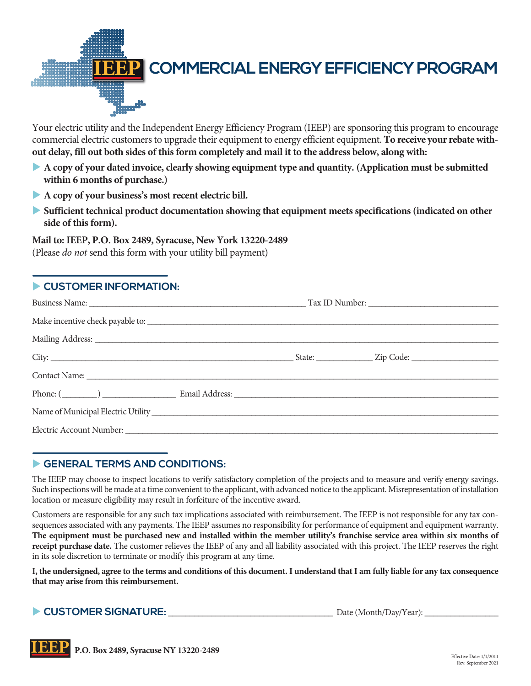

Your electric utility and the Independent Energy Efficiency Program (IEEP) are sponsoring this program to encourage commercial electric customers to upgrade their equipment to energy efficient equipment. **To receive your rebate without delay, fill out both sides of this form completely and mail it to the address below, along with:**

- u **A copy of your dated invoice, clearly showing equipment type and quantity. (Application must be submitted within 6 months of purchase.)**
- **A copy of your business's most recent electric bill.**
- **Sufficient technical product documentation showing that equipment meets specifications (indicated on other side of this form).**

**Mail to: IEEP, P.O. Box 2489, Syracuse, New York 13220-2489**  (Please *do not* send this form with your utility bill payment)

## **EXPLOMER INFORMATION:**

## GENERAL TERMS AND CONDITIONS:

The IEEP may choose to inspect locations to verify satisfactory completion of the projects and to measure and verify energy savings. Such inspections will be made at a time convenient to the applicant, with advanced notice to the applicant. Misrepresentation of installation location or measure eligibility may result in forfeiture of the incentive award.

Customers are responsible for any such tax implications associated with reimbursement. The IEEP is not responsible for any tax consequences associated with any payments. The IEEP assumes no responsibility for performance of equipment and equipment warranty. **The equipment must be purchased new and installed within the member utility's franchise service area within six months of receipt purchase date.** The customer relieves the IEEP of any and all liability associated with this project. The IEEP reserves the right in its sole discretion to terminate or modify this program at any time.

**I, the undersigned, agree to the terms and conditions of this document. I understand that I am fully liable for any tax consequence that may arise from this reimbursement.** 

u **CUSTOMER SIGNATURE:** \_\_\_\_\_\_\_\_\_\_\_\_\_\_\_\_\_\_\_\_\_\_\_\_\_\_\_\_\_\_\_\_\_\_\_\_\_\_ Date (Month/Day/Year): \_\_\_\_\_\_\_\_\_\_\_\_\_\_\_\_\_